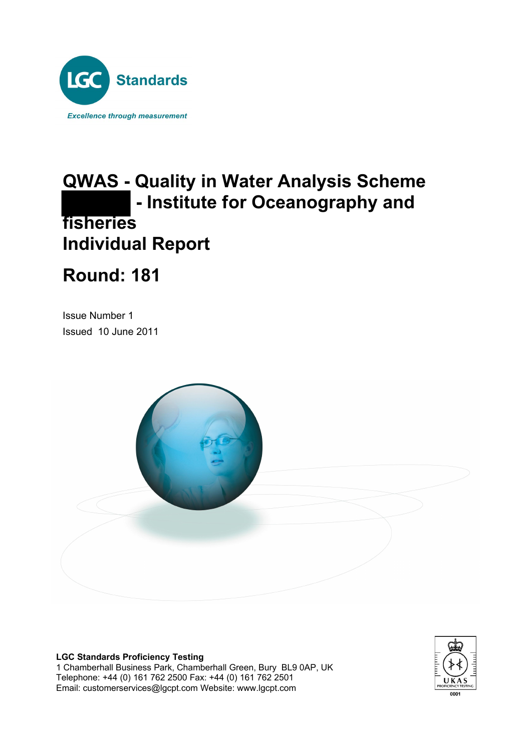

# **QWAS - Quality in Water Analysis Scheme - Institute for Oceanography and fisheries Individual Report**

# **Round: 181**

Issue Number 1 Issued 10 June 2011



**LGC Standards Proficiency Testing**

1 Chamberhall Business Park, Chamberhall Green, Bury BL9 0AP, UK Telephone: +44 (0) 161 762 2500 Fax: +44 (0) 161 762 2501 Email: customerservices@lgcpt.com Website: www.lgcpt.com

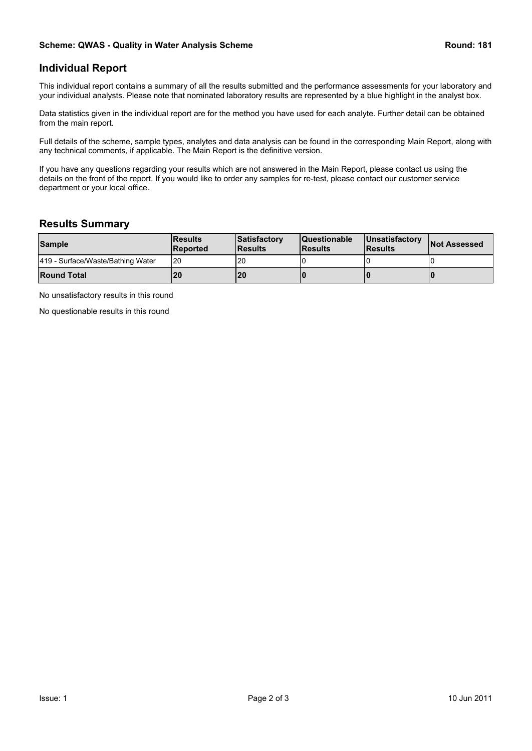### **Individual Report**

This individual report contains a summary of all the results submitted and the performance assessments for your laboratory and your individual analysts. Please note that nominated laboratory results are represented by a blue highlight in the analyst box.

Data statistics given in the individual report are for the method you have used for each analyte. Further detail can be obtained from the main report.

Full details of the scheme, sample types, analytes and data analysis can be found in the corresponding Main Report, along with any technical comments, if applicable. The Main Report is the definitive version.

If you have any questions regarding your results which are not answered in the Main Report, please contact us using the details on the front of the report. If you would like to order any samples for re-test, please contact our customer service department or your local office.

### **Results Summary**

| <b>Sample</b>                     | <b>IResults</b><br><b>IReported</b> | Satisfactory<br><b>IResults</b> | <b>Questionable</b><br><b>IResults</b> | <b>IUnsatisfactory</b><br><b>IResults</b> | <b>Not Assessed</b> |
|-----------------------------------|-------------------------------------|---------------------------------|----------------------------------------|-------------------------------------------|---------------------|
| 419 - Surface/Waste/Bathing Water | I20                                 | 20                              |                                        |                                           |                     |
| <b>Round Total</b>                | l20                                 | <b>20</b>                       |                                        |                                           |                     |

No unsatisfactory results in this round

No questionable results in this round